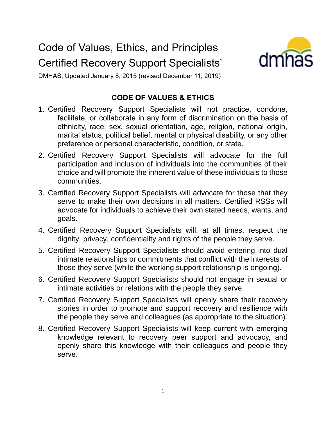## Code of Values, Ethics, and Principles Certified Recovery Support Specialists'



DMHAS; Updated January 8, 2015 (revised December 11, 2019)

## **CODE OF VALUES & ETHICS**

- 1. Certified Recovery Support Specialists will not practice, condone, facilitate, or collaborate in any form of discrimination on the basis of ethnicity, race, sex, sexual orientation, age, religion, national origin, marital status, political belief, mental or physical disability, or any other preference or personal characteristic, condition, or state.
- 2. Certified Recovery Support Specialists will advocate for the full participation and inclusion of individuals into the communities of their choice and will promote the inherent value of these individuals to those communities.
- 3. Certified Recovery Support Specialists will advocate for those that they serve to make their own decisions in all matters. Certified RSSs will advocate for individuals to achieve their own stated needs, wants, and goals.
- 4. Certified Recovery Support Specialists will, at all times, respect the dignity, privacy, confidentiality and rights of the people they serve.
- 5. Certified Recovery Support Specialists should avoid entering into dual intimate relationships or commitments that conflict with the interests of those they serve (while the working support relationship is ongoing).
- 6. Certified Recovery Support Specialists should not engage in sexual or intimate activities or relations with the people they serve.
- 7. Certified Recovery Support Specialists will openly share their recovery stories in order to promote and support recovery and resilience with the people they serve and colleagues (as appropriate to the situation).
- 8. Certified Recovery Support Specialists will keep current with emerging knowledge relevant to recovery peer support and advocacy, and openly share this knowledge with their colleagues and people they serve.